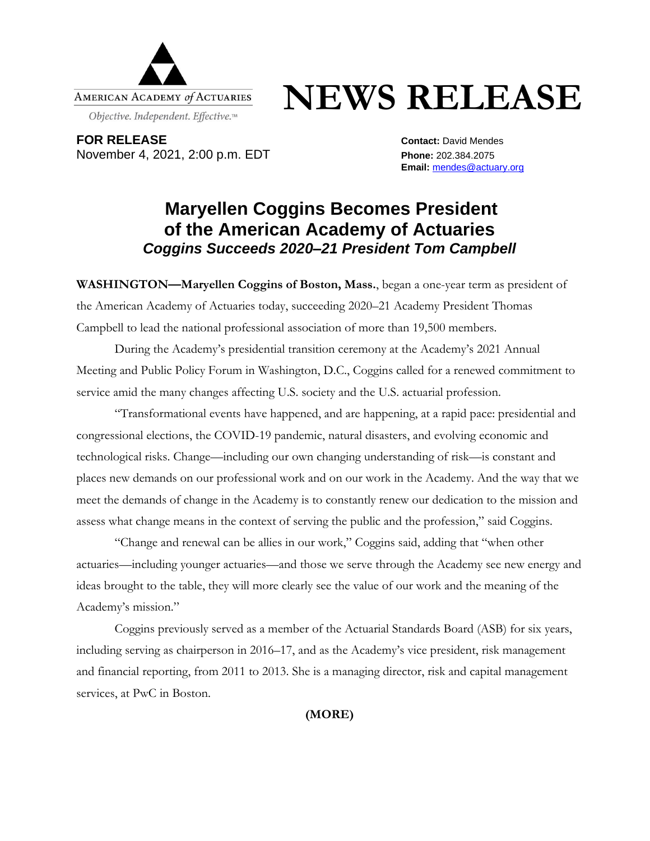

## **NEWS RELEASE**

**FOR RELEASE Contact:** David Mendes November 4, 2021, 2:00 p.m. EDT **Phone:** 202.384.2075

**Email:** [mendes@actuary.org](mailto:mendes@actuary.org)

## **Maryellen Coggins Becomes President of the American Academy of Actuaries** *Coggins Succeeds 2020–21 President Tom Campbell*

**WASHINGTON—Maryellen Coggins of Boston, Mass.**, began a one-year term as president of the American Academy of Actuaries today, succeeding 2020–21 Academy President Thomas Campbell to lead the national professional association of more than 19,500 members.

During the Academy's presidential transition ceremony at the Academy's 2021 Annual Meeting and Public Policy Forum in Washington, D.C., Coggins called for a renewed commitment to service amid the many changes affecting U.S. society and the U.S. actuarial profession.

"Transformational events have happened, and are happening, at a rapid pace: presidential and congressional elections, the COVID-19 pandemic, natural disasters, and evolving economic and technological risks. Change—including our own changing understanding of risk—is constant and places new demands on our professional work and on our work in the Academy. And the way that we meet the demands of change in the Academy is to constantly renew our dedication to the mission and assess what change means in the context of serving the public and the profession," said Coggins.

"Change and renewal can be allies in our work," Coggins said, adding that "when other actuaries—including younger actuaries—and those we serve through the Academy see new energy and ideas brought to the table, they will more clearly see the value of our work and the meaning of the Academy's mission."

Coggins previously served as a member of the Actuarial Standards Board (ASB) for six years, including serving as chairperson in 2016–17, and as the Academy's vice president, risk management and financial reporting, from 2011 to 2013. She is a managing director, risk and capital management services, at PwC in Boston.

**(MORE)**